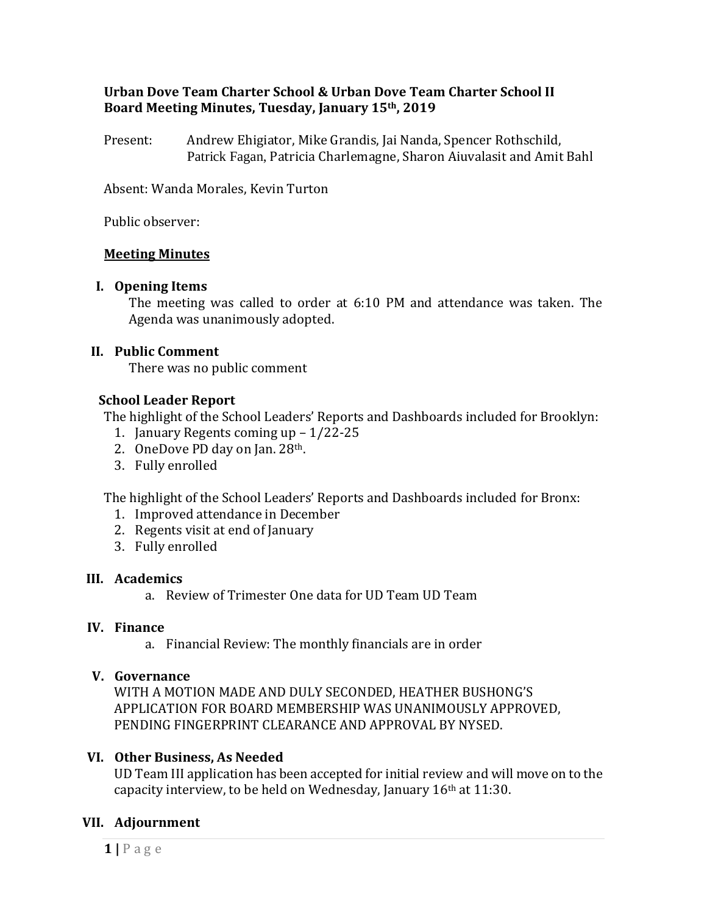## **Urban Dove Team Charter School & Urban Dove Team Charter School II Board Meeting Minutes, Tuesday, January 15th, 2019**

Present: Andrew Ehigiator, Mike Grandis, Jai Nanda, Spencer Rothschild, Patrick Fagan, Patricia Charlemagne, Sharon Aiuvalasit and Amit Bahl

Absent: Wanda Morales, Kevin Turton

Public observer:

### **Meeting Minutes**

### **I. Opening Items**

The meeting was called to order at 6:10 PM and attendance was taken. The Agenda was unanimously adopted.

### **II. Public Comment**

There was no public comment

### **School Leader Report**

The highlight of the School Leaders' Reports and Dashboards included for Brooklyn:

- 1. January Regents coming up 1/22-25
- 2. OneDove PD day on Jan. 28th.
- 3. Fully enrolled

The highlight of the School Leaders' Reports and Dashboards included for Bronx:

- 1. Improved attendance in December
- 2. Regents visit at end of January
- 3. Fully enrolled

### **III. Academics**

a. Review of Trimester One data for UD Team UD Team

### **IV. Finance**

a. Financial Review: The monthly financials are in order

### **V. Governance**

WITH A MOTION MADE AND DULY SECONDED, HEATHER BUSHONG'S APPLICATION FOR BOARD MEMBERSHIP WAS UNANIMOUSLY APPROVED, PENDING FINGERPRINT CLEARANCE AND APPROVAL BY NYSED.

### **VI. Other Business, As Needed**

UD Team III application has been accepted for initial review and will move on to the capacity interview, to be held on Wednesday, January 16<sup>th</sup> at 11:30.

# **VII. Adjournment**